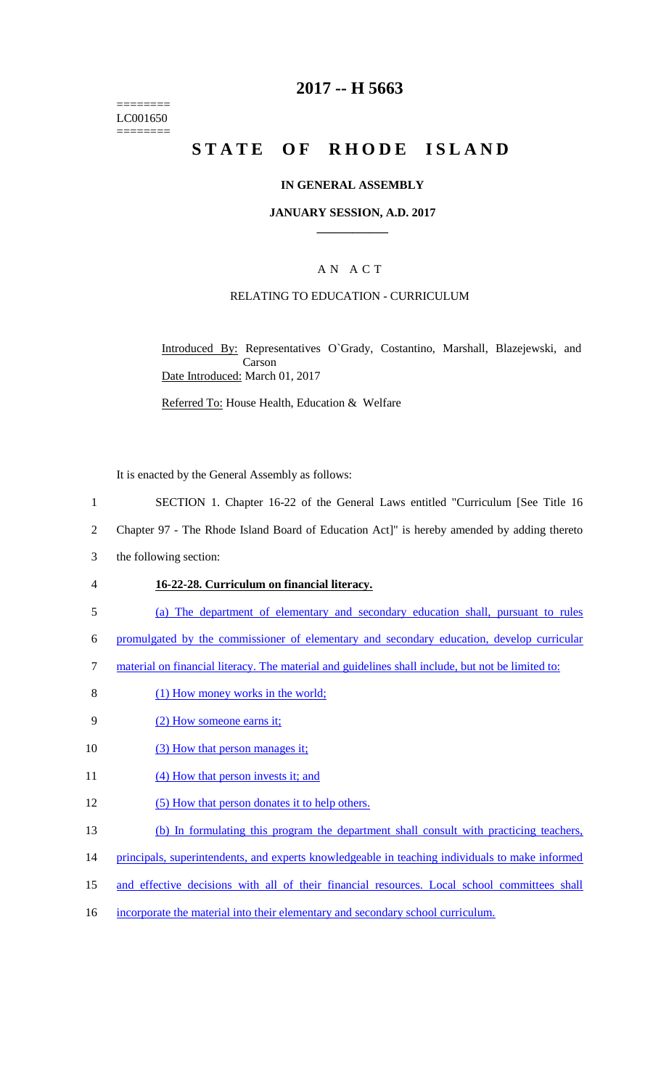======== LC001650 ========

## **2017 -- H 5663**

# **STATE OF RHODE ISLAND**

#### **IN GENERAL ASSEMBLY**

#### **JANUARY SESSION, A.D. 2017 \_\_\_\_\_\_\_\_\_\_\_\_**

### A N A C T

#### RELATING TO EDUCATION - CURRICULUM

Introduced By: Representatives O`Grady, Costantino, Marshall, Blazejewski, and Carson Date Introduced: March 01, 2017

Referred To: House Health, Education & Welfare

It is enacted by the General Assembly as follows:

- 1 SECTION 1. Chapter 16-22 of the General Laws entitled "Curriculum [See Title 16
- 2 Chapter 97 The Rhode Island Board of Education Act]" is hereby amended by adding thereto
- 3 the following section:
- 4 **16-22-28. Curriculum on financial literacy.**
- 5 (a) The department of elementary and secondary education shall, pursuant to rules
- 6 promulgated by the commissioner of elementary and secondary education, develop curricular
- 7 material on financial literacy. The material and guidelines shall include, but not be limited to:
- 8 (1) How money works in the world;
- 9 (2) How someone earns it;
- 10 (3) How that person manages it;
- 11 (4) How that person invests it; and
- 12 (5) How that person donates it to help others.
- 13 (b) In formulating this program the department shall consult with practicing teachers,
- 14 principals, superintendents, and experts knowledgeable in teaching individuals to make informed
- 15 and effective decisions with all of their financial resources. Local school committees shall
- 16 incorporate the material into their elementary and secondary school curriculum.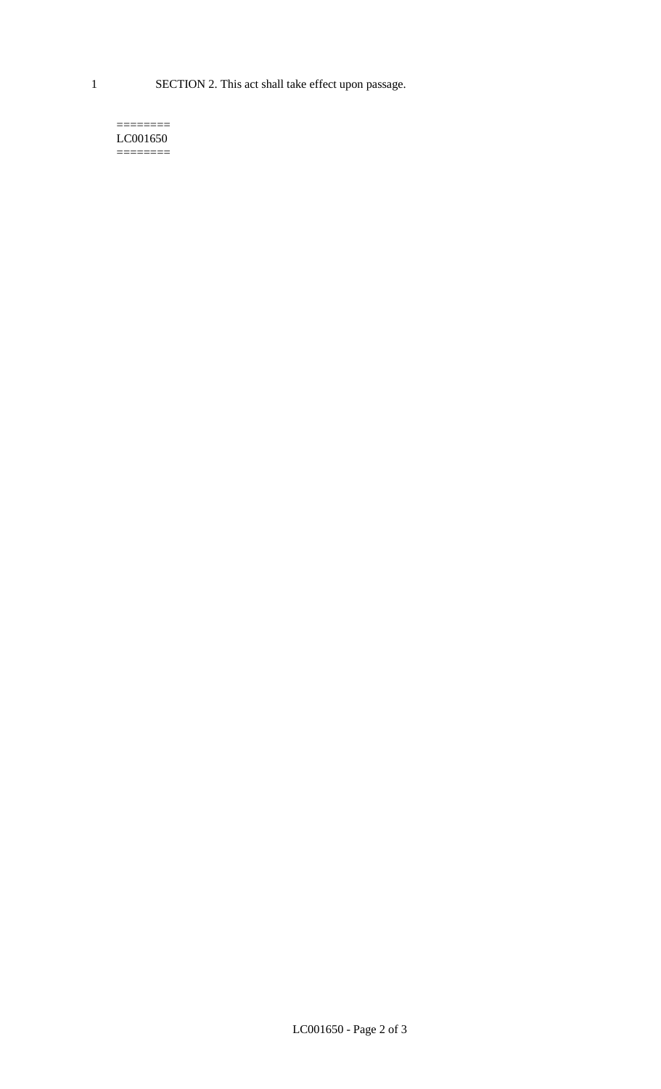1 SECTION 2. This act shall take effect upon passage.

#### $=$ LC001650  $=$